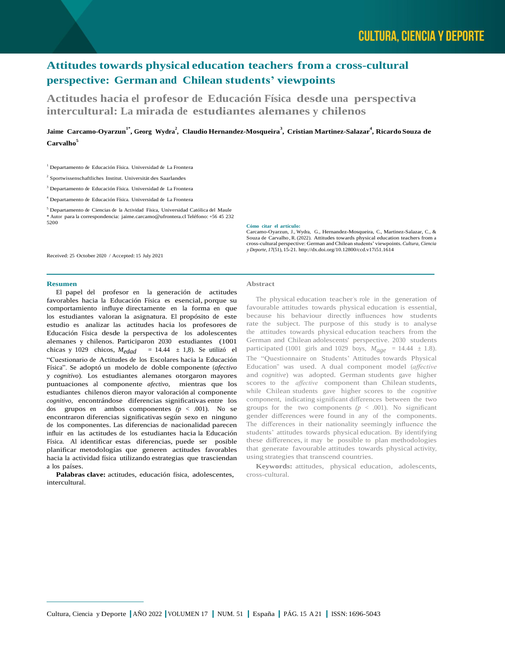# **Attitudes towards physical education teachers from a cross-cultural perspective: German and Chilean students' viewpoints**

**Actitudes hacia el profesor de Educación Física desde una perspectiva intercultural: La mirada de estudiantes alemanes y chilenos**

## Jaime Carcamo-Oyarzun<sup>1\*</sup>, Georg Wydra<sup>2</sup>, Claudio Hernandez-Mosqueira<sup>3</sup>, Cristian Martinez-Salazar<sup>4</sup>, Ricardo Souza de **Carvalho<sup>5</sup>**

<sup>1</sup> Departamento de Educación Física. Universidad de La Frontera

2 Sportwissenschaftliches Institut. Universität des Saarlandes

<sup>3</sup> Departamento de Educación Física. Universidad de La Frontera

<sup>4</sup> Departamento de Educación Física. Universidad de La Frontera

<sup>5</sup> Departamento de Ciencias de la Actividad Física, Universidad Católica del Maule

\* Autor para la correspondencia: [jaime.carcamo@ufrontera.cl](mailto:jaime.carcamo@ufrontera.cl) Teléfono: +56 45 232 5200

#### **Cómo citar el artículo:**

Carcamo-Oyarzun, J., Wydra, G., Hernandez-Mosqueira, C., Martinez-Salazar, C., & Souza de Carvalho, R. (2022). Attitudes towards physical education teachers from a cross-cultural perspective: German and Chilean students' viewpoints. *Cultura, Ciencia y Deporte, 17*(51), 15-21. http://dx.doi.org/10.12800/ccd.v17i51.1614

Received: 25 October 2020 / Accepted: 15 July 2021

#### **Resumen**

El papel del profesor en la generación de actitudes favorables hacia la Educación Física es esencial, porque su comportamiento influye directamente en la forma en que los estudiantes valoran la asignatura. El propósito de este estudio es analizar las actitudes hacia los profesores de Educación Física desde la perspectiva de los adolescentes alemanes y chilenos. Participaron 2030 estudiantes (1001 chicas y 1029 chicos,  $M_{edad}$  = 14.44  $\pm$  1,8). Se utilizó el "Cuestionario de Actitudes de los Escolares hacia la Educación Física". Se adoptó un modelo de doble componente (*afectivo*  y *cognitivo*). Los estudiantes alemanes otorgaron mayores puntuaciones al componente *afectivo*, mientras que los estudiantes chilenos dieron mayor valoración al componente *cognitivo*, encontrándose diferencias significativas entre los dos grupos en ambos componentes *(p* < .001). No se encontraron diferencias significativas según sexo en ninguno de los componentes. Las diferencias de nacionalidad parecen influir en las actitudes de los estudiantes hacia la Educación Física. Al identificar estas diferencias, puede ser posible planificar metodologías que generen actitudes favorables hacia la actividad física utilizando estrategias que trasciendan a los países.

**Palabras clave:** actitudes, educación física, adolescentes, intercultural.

## **Abstract**

The physical education teacher's role in the generation of favourable attitudes towards physical education is essential, because his behaviour directly influences how students rate the subject. The purpose of this study is to analyse the attitudes towards physical education teachers from the German and Chilean adolescents' perspective. 2030 students participated (1001 girls and 1029 boys,  $M_{age} = 14.44 \pm 1.8$ ). The "Questionnaire on Students' Attitudes towards Physical Education" was used. A dual component model (*affective*  and *cognitive*) was adopted. German students gave higher scores to the *affective* component than Chilean students, while Chilean students gave higher scores to the *cognitive*  component, indicating significant differences between the two groups for the two components  $(p < .001)$ . No significant gender differences were found in any of the components. The differences in their nationality seemingly influence the students' attitudes towards physical education. By identifying these differences, it may be possible to plan methodologies that generate favourable attitudes towards physical activity, using strategies that transcend countries.

**Keywords:** attitudes, physical education, adolescents, cross-cultural.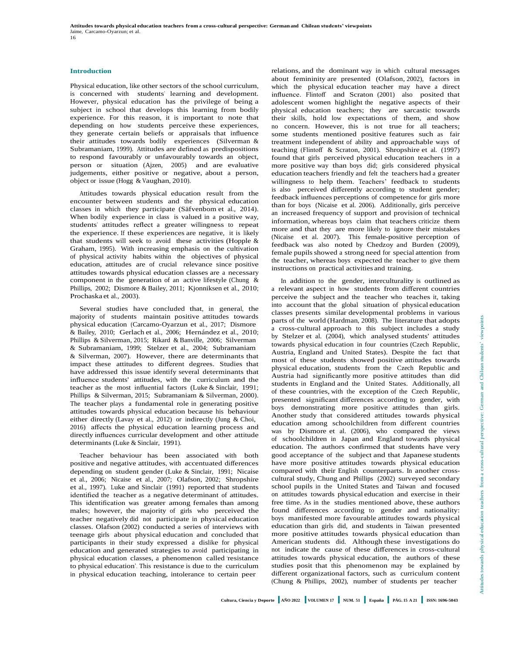#### **Introduction**

Physical education, like other sectors of the school curriculum, is concerned with students' learning and development. However, physical education has the privilege of being a subject in school that develops this learning from bodily experience. For this reason, it is important to note that depending on how students perceive these experiences, they generate certain beliefs or appraisals that influence their attitudes towards bodily experiences (Silverman & Subramaniam, 1999). Attitudes are defined as predispositions to respond favourably or unfavourably towards an object, person or situation (Ajzen, 2005) and are evaluative judgements, either positive or negative, about a person, object or issue (Hogg & Vaughan, 2010).

Attitudes towards physical education result from the encounter between students and the physical education classes in which they participate (Säfvenbom et al., 2014). When bodily experience in class is valued in a positive way, students' attitudes reflect a greater willingness to repeat the experience. If these experiences are negative, it is likely that students will seek to avoid these activities (Hopple & Graham, 1995). With increasing emphasis on the cultivation of physical activity habits within the objectives of physical education, attitudes are of crucial relevance since positive attitudes towards physical education classes are a necessary component in the generation of an active lifestyle (Chung & Phillips, 2002; Dismore & Bailey, 2011; Kjonniksen et al., 2010; Prochaska et al., 2003).

Several studies have concluded that, in general, the majority of students maintain positive attitudes towards physical education (Carcamo-Oyarzun et al., 2017; Dismore & Bailey, 2010; Gerlach et al., 2006; Hernández et al., 2010; Phillips & Silverman, 2015; Rikard & Banville, 2006; Silverman & Subramaniam, 1999; Stelzer et al., 2004; Subramaniam & Silverman, 2007). However, there are determinants that impact these attitudes to different degrees. Studies that have addressed this issue identify several determinants that influence students' attitudes, with the curriculum and the teacher as the most influential factors (Luke & Sinclair, 1991; Phillips & Silverman, 2015; Subramaniam & Silverman, 2000). The teacher plays a fundamental role in generating positive attitudes towards physical education because his behaviour either directly (Lavay et al., 2012) or indirectly (Jung & Choi, 2016) affects the physical education learning process and directly influences curricular development and other attitude determinants (Luke & Sinclair, 1991).

Teacher behaviour has been associated with both positive and negative attitudes, with accentuated differences depending on student gender (Luke & Sinclair, 1991; Nicaise et al., 2006; Nicaise et al., 2007; Olafson, 2002; Shropshire et al., 1997). Luke and Sinclair (1991) reported that students identified the teacher as a negative determinant of attitudes. This identification was greater among females than among males; however, the majority of girls who perceived the teacher negatively did not participate in physical education classes. Olafson (2002) conducted a series of interviews with teenage girls about physical education and concluded that participants in their study expressed a dislike for physical education and generated strategies to avoid participating in physical education classes, a phenomenon called 'resistance to physical education'. This resistance is due to the curriculum in physical education teaching, intolerance to certain peer

relations, and the dominant way in which cultural messages about femininity are presented (Olafson, 2002), factors in which the physical education teacher may have a direct influence. Flintoff and Scraton (2001) also posited that adolescent women highlight the negative aspects of their physical education teachers; they are sarcastic towards their skills, hold low expectations of them, and show no concern. However, this is not true for all teachers; some students mentioned positive features such as fair treatment independent of ability and approachable ways of teaching (Flintoff & Scraton, 2001). Shropshire et al. (1997) found that girls perceived physical education teachers in a more positive way than boys did; girls considered physical education teachers friendly and felt the teachers had a greater willingness to help them. Teachers' feedback to students is also perceived differently according to student gender; feedback influences perceptions of competence for girls more than for boys (Nicaise et al. 2006). Additionally, girls perceive an increased frequency of support and provision of technical information, whereas boys claim that teachers criticize them more and that they are more likely to ignore their mistakes (Nicaise et al. 2007). This female-positive perception of feedback was also noted by Chedzoy and Burden (2009), female pupils showed a strong need for special attention from the teacher, whereas boys expected the teacher to give them instructions on practical activities and training.

In addition to the gender, interculturality is outlined as a relevant aspect in how students from different countries perceive the subject and the teacher who teaches it, taking into account that the global situation of physical education classes presents similar developmental problems in various parts of the world (Hardman, 2008). The literature that adopts a cross-cultural approach to this subject includes a study by Stelzer et al. (2004), which analysed students' attitudes towards physical education in four countries (Czech Republic, Austria, England and United States). Despite the fact that most of these students showed positive attitudes towards physical education, students from the Czech Republic and Austria had significantly more positive attitudes than did students in England and the United States. Additionally, all of these countries, with the exception of the Czech Republic, presented significant differences according to gender, with boys demonstrating more positive attitudes than girls. Another study that considered attitudes towards physical education among schoolchildren from different countries was by Dismore et al. (2006), who compared the views of schoolchildren in Japan and England towards physical education. The authors confirmed that students have very good acceptance of the subject and that Japanese students have more positive attitudes towards physical education compared with their English counterparts. In another crosscultural study, Chung and Phillips (2002) surveyed secondary school pupils in the United States and Taiwan and focused on attitudes towards physical education and exercise in their free time. As in the studies mentioned above, these authors found differences according to gender and nationality: boys manifested more favourable attitudes towards physical education than girls did, and students in Taiwan presented more positive attitudes towards physical education than American students did. Although these investigations do not indicate the cause of these differences in cross-cultural attitudes towards physical education, the authors of these studies posit that this phenomenon may be explained by different organizational factors, such as curriculum content (Chung & Phillips, 2002), number of students per teacher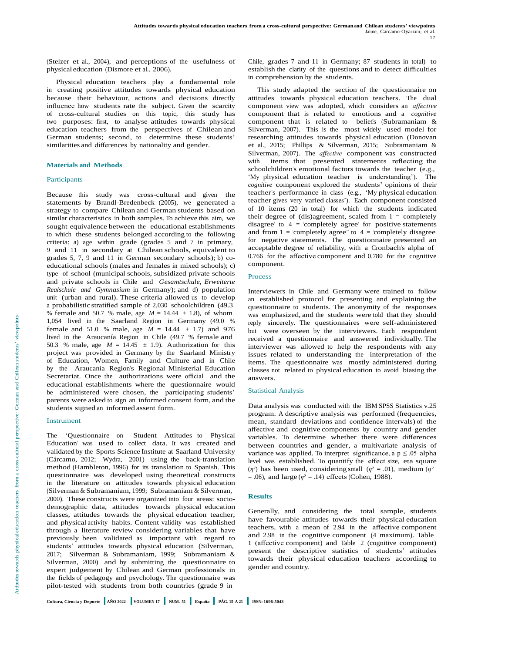(Stelzer et al., 2004), and perceptions of the usefulness of physical education (Dismore et al., 2006).

Physical education teachers play a fundamental role in creating positive attitudes towards physical education because their behaviour, actions and decisions directly influence how students rate the subject. Given the scarcity of cross-cultural studies on this topic, this study has two purposes: first, to analyse attitudes towards physical education teachers from the perspectives of Chilean and German students; second, to determine these students' similarities and differences by nationality and gender.

#### **Materials and Methods**

#### **Participants**

Because this study was cross-cultural and given the statements by Brandl-Bredenbeck (2005), we generated a strategy to compare Chilean and German students based on similar characteristics in both samples. To achieve this aim, we sought equivalence between the educational establishments to which these students belonged according to the following criteria: a) age within grade (grades 5 and 7 in primary, 9 and 11 in secondary at Chilean schools, equivalent to grades 5, 7, 9 and 11 in German secondary schools); b) coeducational schools (males and females in mixed schools); c) type of school (municipal schools, subsidized private schools and private schools in Chile and *Gesamtschule, Erweiterte Realschule and Gymnasium* in Germany); and d) population unit (urban and rural). These criteria allowed us to develop a probabilistic stratified sample of 2,030 schoolchildren (49.3 % female and 50.7 % male, age  $M = 14.44 \pm 1.8$ ), of whom 1,054 lived in the Saarland Region in Germany (49.0 % female and 51.0 % male, age  $M = 14.44 \pm 1.7$ ) and 976 lived in the Araucanía Region in Chile (49.7 % female and 50.3 % male, age  $M = 14.45 \pm 1.9$ . Authorization for this project was provided in Germany by the Saarland Ministry of Education, Women, Family and Culture and in Chile by the Araucanía Region's Regional Ministerial Education Secretariat. Once the authorizations were official and the educational establishments where the questionnaire would be administered were chosen, the participating students' parents were asked to sign an informed consent form, and the students signed an informed assent form.

## Instrument

The 'Questionnaire on Student Attitudes to Physical Education' was used to collect data. It was created and validated by the Sports Science Institute at Saarland University (Cárcamo, 2012; Wydra, 2001) using the back-translation method (Hambleton, 1996) for its translation to Spanish. This questionnaire was developed using theoretical constructs in the literature on attitudes towards physical education (Silverman & Subramaniam, 1999; Subramaniam & Silverman, 2000). These constructs were organized into four areas: sociodemographic data, attitudes towards physical education classes, attitudes towards the physical education teacher, and physical activity habits. Content validity was established through a literature review considering variables that have previously been validated as important with regard to students' attitudes towards physical education (Silverman, 2017; Silverman & Subramaniam, 1999; Subramaniam & Silverman, 2000) and by submitting the questionnaire to expert judgement by Chilean and German professionals in the fields of pedagogy and psychology. The questionnaire was pilot-tested with students from both countries (grade 9 in

Chile, grades 7 and 11 in Germany; 87 students in total) to establish the clarity of the questions and to detect difficulties in comprehension by the students.

This study adapted the section of the questionnaire on attitudes towards physical education teachers. The dual component view was adopted, which considers an *affective*  component that is related to emotions and a *cognitive*  component that is related to beliefs (Subramaniam & Silverman, 2007). This is the most widely used model for researching attitudes towards physical education (Donovan et al., 2015; Phillips & Silverman, 2015; Subramaniam & Silverman, 2007). The *affective* component was constructed with items that presented statements reflecting the schoolchildren's emotional factors towards the teacher (e.g., 'My physical education teacher is understanding'). The *cognitive* component explored the students' opinions of their teacher's performance in class (e.g., 'My physical education teacher gives very varied classes'). Each component consisted of 10 items (20 in total) for which the students indicated their degree of (dis)agreement, scaled from  $1 = \text{completely}$ disagree' to  $4 = \text{complete}$  agree' for positive statements and from  $1 =$  completely agree" to  $4 =$  completely disagree' for negative statements. The questionnaire presented an acceptable degree of reliability, with a Cronbach's alpha of 0.766 for the affective component and 0.780 for the cognitive component.

## Process

Interviewers in Chile and Germany were trained to follow an established protocol for presenting and explaining the questionnaire to students. The anonymity of the responses was emphasized, and the students were told that they should reply sincerely. The questionnaires were self-administered but were overseen by the interviewers. Each respondent received a questionnaire and answered individually. The interviewer was allowed to help the respondents with any issues related to understanding the interpretation of the items. The questionnaire was mostly administered during classes not related to physical education to avoid biasing the answers.

#### Statistical Analysis

Data analysis was conducted with the IBM SPSS Statistics v.25 program. A descriptive analysis was performed (frequencies, mean, standard deviations and confidence intervals) of the affective and cognitive components by country and gender variables. To determine whether there were differences between countries and gender, a multivariate analysis of variance was applied. To interpret significance, a  $p \le 0.05$  alpha level was established. To quantify the effect size, eta square ( $\eta$ <sup>2</sup>) has been used, considering small ( $\eta$ <sup>2</sup> = .01), medium ( $\eta$ <sup>2</sup>)  $= .06$ ), and large ( $\eta^2 = .14$ ) effects (Cohen, 1988).

#### **Results**

Generally, and considering the total sample, students have favourable attitudes towards their physical education teachers, with a mean of 2.94 in the affective component and 2.98 in the cognitive component (4 maximum). Table 1 (affective component) and Table 2 (cognitive component) present the descriptive statistics of students' attitudes towards their physical education teachers according to gender and country.

Cultura, Ciencia y Deporte AÑO 2022 VOLUMEN 17 NUM. 51 España PÁG. 15 A 21 ISSN: 1696-5043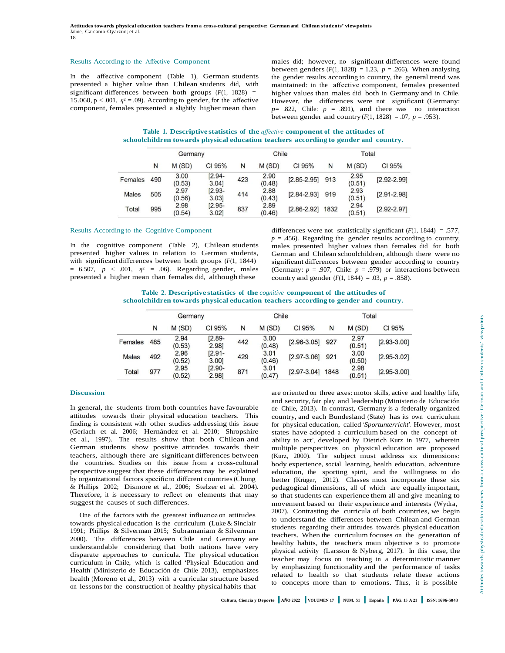#### Results According to the Affective Component

In the affective component (Table 1), German students presented a higher value than Chilean students did, with significant differences between both groups  $(F(1, 1828))$  = 15.060,  $p < .001$ ,  $\eta^2 = .09$ ). According to gender, for the affective component, females presented a slightly higher mean than

males did; however, no significant differences were found between genders  $(F(1, 1828) = 1.23, p = .266)$ . When analysing the gender results according to country, the general trend was maintained: in the affective component, females presented higher values than males did both in Germany and in Chile. However, the differences were not significant (Germany:  $p=$  .822, Chile:  $p = .891$ ), and there was no interaction between gender and country  $(F(1, 1828) = .07, p = .953)$ .

**Table 1. Descriptive statistics of the** *affective* **component of the attitudes of schoolchildren towards physical education teachers according to gender and country.**

|              | Germany |                |                    | Chile |                |                 | Total |                |                 |
|--------------|---------|----------------|--------------------|-------|----------------|-----------------|-------|----------------|-----------------|
|              | N       | M(SD)          | CI 95%             | N     | M(SD)          | CI 95%          | N     | M(SD)          | CI 95%          |
| Females      | 490     | 3.00<br>(0.53) | $[2.94 -$<br>3.04  | 423   | 2.90<br>(0.48) | $[2.85 - 2.95]$ | 913   | 2.95<br>(0.51) | $[2.92 - 2.99]$ |
| <b>Males</b> | 505     | 2.97<br>(0.56) | $[2.93 -$<br>3.03  | 414   | 2.88<br>(0.43) | $[2.84 - 2.93]$ | 919   | 2.93<br>(0.51) | $[2.91 - 2.98]$ |
| Total        | 995     | 2.98<br>(0.54) | $[2.95 -$<br>3.021 | 837   | 2.89<br>(0.46) | $[2.86 - 2.92]$ | 1832  | 2.94<br>(0.51) | $[2.92 - 2.97]$ |

#### Results According to the Cognitive Component

In the cognitive component (Table 2), Chilean students presented higher values in relation to German students, with significant differences between both groups (*F*(1, 1844)  $= 6.507, p < .001, \eta^2 = .06$ . Regarding gender, males presented a higher mean than females did, although these

differences were not statistically significant (*F*(1, 1844) = .577,  $p = .456$ ). Regarding the gender results according to country, males presented higher values than females did for both German and Chilean schoolchildren, although there were no significant differences between gender according to country (Germany:  $p = .907$ , Chile:  $p = .979$ ) or interactions between country and gender  $(F(1, 1844) = .03, p = .858)$ .

**Table 2. Descriptive statistics of the** *cognitive* **component of the attitudes of schoolchildren towards physical education teachers according to gender and country.**

|              | Germany |                |                    | Chile |                |                 | Total |                |                 |  |
|--------------|---------|----------------|--------------------|-------|----------------|-----------------|-------|----------------|-----------------|--|
|              | N       | M(SD)          | CI 95%             | N     | M(SD)          | CI 95%          | N     | M(SD)          | CI 95%          |  |
| Females      | 485     | 2.94<br>(0.53) | $[2.89 -$<br>2.981 | 442   | 3.00<br>(0.48) | $[2.96 - 3.05]$ | 927   | 2.97<br>(0.51) | $[2.93 - 3.00]$ |  |
| <b>Males</b> | 492     | 2.96<br>(0.52) | $[2.91 -$<br>3.00] | 429   | 3.01<br>(0.46) | $[2.97 - 3.06]$ | 921   | 3.00<br>(0.50) | $[2.95 - 3.02]$ |  |
| Total        | 977     | 2.95<br>(0.52) | $[2.90 -$<br>2.981 | 871   | 3.01<br>(0.47) | $[2.97 - 3.04]$ | 1848  | 2.98<br>(0.51) | $[2.95 - 3.00]$ |  |

#### **Discussion**

In general, the students from both countries have favourable attitudes towards their physical education teachers. This finding is consistent with other studies addressing this issue (Gerlach et al. 2006; Hernández et al. 2010; Shropshire et al., 1997). The results show that both Chilean and German students show positive attitudes towards their teachers, although there are significant differences between the countries. Studies on this issue from a cross-cultural perspective suggest that these differences may be explained by organizational factors specific to different countries(Chung & Phillips 2002; Dismore et al., 2006; Stelzer et al. 2004). Therefore, it is necessary to reflect on elements that may suggest the causes of such differences.

One of the factors with the greatest influence on attitudes towards physical education is the curriculum (Luke & Sinclair 1991; Phillips & Silverman 2015; Subramaniam & Silverman 2000). The differences between Chile and Germany are understandable considering that both nations have very disparate approaches to curricula. The physical education curriculum in Chile, which is called 'Physical Education and Health' (Ministerio de Educación de Chile 2013), emphasizes health (Moreno et al., 2013) with a curricular structure based on lessonsfor the construction of healthy physical habits that

are oriented on three axes: motor skills, active and healthy life, and security, fair play and leadership (Ministerio de Educación de Chile, 2013). In contrast, Germany is a federally organized country, and each Bundesland (State) has its own curriculum for physical education, called '*Sportunterricht*'. However, most states have adopted a curriculum based on the concept of 'ability to act', developed by Dietrich Kurz in 1977, wherein multiple perspectives on physical education are proposed (Kurz, 2000). The subject must address six dimensions: body experience, social learning, health education, adventure education, the sporting spirit, and the willingness to do better (Krüger, 2012). Classes must incorporate these six pedagogical dimensions, all of which are equally important, so that students can experience them all and give meaning to movement based on their experience and interests (Wydra, 2007). Contrasting the curricula of both countries, we begin to understand the differences between Chilean and German students regarding their attitudes towards physical education teachers. When the curriculum focuses on the generation of healthy habits, the teacher's main objective is to promote physical activity (Larsson & Nyberg, 2017). In this case, the teacher may focus on teaching in a deterministic manner by emphasizing functionality and the performance of tasks related to health so that students relate these actions to concepts more than to emotions. Thus, it is possible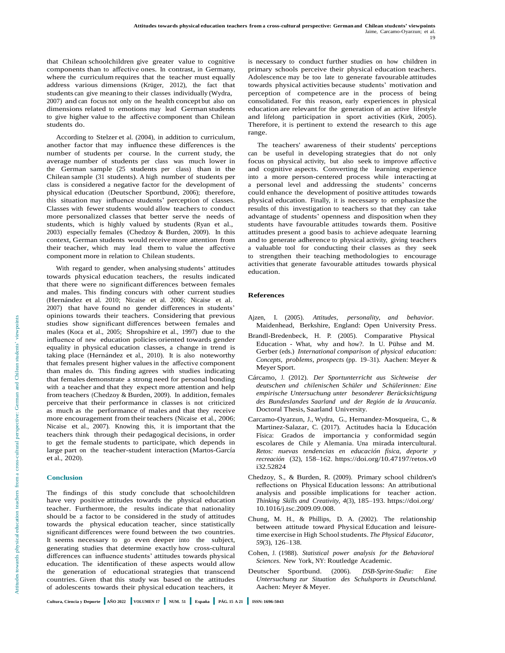that Chilean schoolchildren give greater value to cognitive components than to affective ones. In contrast, in Germany, where the curriculum requires that the teacher must equally address various dimensions (Krüger, 2012), the fact that students can give meaning to their classes individually (Wydra, 2007) and can focus not only on the health concept but also on dimensions related to emotions may lead German students to give higher value to the affective component than Chilean students do.

According to Stelzer et al. (2004), in addition to curriculum, another factor that may influence these differences is the number of students per course. In the current study, the average number of students per class was much lower in the German sample (25 students per class) than in the Chilean sample (31 students). A high number of students per class is considered a negative factor for the development of physical education (Deutscher Sportbund, 2006); therefore, this situation may influence students' perception of classes. Classes with fewer students would allow teachers to conduct more personalized classes that better serve the needs of students, which is highly valued by students (Ryan et al., 2003) especially females (Chedzoy & Burden, 2009). In this context, German students would receive more attention from their teacher, which may lead them to value the affective component more in relation to Chilean students.

With regard to gender, when analysing students' attitudes towards physical education teachers, the results indicated that there were no significant differences between females and males. This finding concurs with other current studies (Hernández et al. 2010; Nicaise et al. 2006; Nicaise et al. 2007) that have found no gender differences in students' opinions towards their teachers. Considering that previous studies show significant differences between females and males (Koca et al., 2005; Shropshire et al., 1997) due to the influence of new education policies oriented towards gender equality in physical education classes, a change in trend is taking place (Hernández et al., 2010). It is also noteworthy that females present higher values in the affective component than males do. This finding agrees with studies indicating that females demonstrate a strong need for personal bonding with a teacher and that they expect more attention and help from teachers (Chedzoy & Burden, 2009). In addition, females perceive that their performance in classes is not criticized as much as the performance of males and that they receive more encouragement from their teachers (Nicaise et al., 2006; Nicaise et al., 2007). Knowing this, it is important that the teachers think through their pedagogical decisions, in order to get the female students to participate, which depends in large part on the teacher-student interaction (Martos-García et al., 2020).

#### **Conclusion**

The findings of this study conclude that schoolchildren have very positive attitudes towards the physical education teacher. Furthermore, the results indicate that nationality should be a factor to be considered in the study of attitudes towards the physical education teacher, since statistically significant differences were found between the two countries. It seems necessary to go even deeper into the subject, generating studies that determine exactly how cross-cultural differences can influence students' attitudes towards physical education. The identification of these aspects would allow the generation of educational strategies that transcend countries. Given that this study was based on the attitudes of adolescents towards their physical education teachers, it

is necessary to conduct further studies on how children in primary schools perceive their physical education teachers. Adolescence may be too late to generate favourable attitudes towards physical activities because students' motivation and perception of competence are in the process of being consolidated. For this reason, early experiences in physical education are relevant for the generation of an active lifestyle and lifelong participation in sport activities (Kirk, 2005). Therefore, it is pertinent to extend the research to this age range.

The teachers' awareness of their students' perceptions can be useful in developing strategies that do not only focus on physical activity, but also seek to improve affective and cognitive aspects. Converting the learning experience into a more person-centered process while interacting at a personal level and addressing the students' concerns could enhance the development of positive attitudes towards physical education. Finally, it is necessary to emphasize the results of this investigation to teachers so that they can take advantage of students' openness and disposition when they students have favourable attitudes towards them. Positive attitudes present a good basis to achieve adequate learning and to generate adherence to physical activity, giving teachers a valuable tool for conducting their classes as they seek to strengthen their teaching methodologies to encourage activities that generate favourable attitudes towards physical education.

#### **References**

- Ajzen, I. (2005). *Attitudes, personality, and behavior.* Maidenhead, Berkshire, England: Open University Press.
- Brandl-Bredenbeck, H. P. (2005). Comparative Physical Education - What, why and how?. In U. Pühse and M. Gerber (eds.) *International comparison of physical education: Concepts, problems, prospects* (pp. 19–31). Aachen: Meyer & Meyer Sport.
- Cárcamo, J. (2012). *Der Sportunterricht aus Sichtweise der deutschen und chilenischen Schüler und Schülerinnen: Eine empirische Untersuchung unter besonderer Berücksichtigung des Bundeslandes Saarland und der Región de la Araucanía*. Doctoral Thesis, Saarland University.
- Carcamo-Oyarzun, J., Wydra, G., Hernandez-Mosqueira, C., & Martinez-Salazar, C. (2017). Actitudes hacia la Educación Física: Grados de importancia y conformidad según escolares de Chile y Alemania. Una mirada intercultural. *Retos: nuevas tendencias en educación física, deporte y recreación* (32), 158–162. [https://doi.org/10.47197/retos.v0](https://doi.org/10.47197/retos.v0i32.52824) [i32.52824](https://doi.org/10.47197/retos.v0i32.52824)
- Chedzoy, S., & Burden, R. (2009). Primary school children's reflections on Physical Education lessons: An attributional analysis and possible implications for teacher action. *Thinking Skills and Creativity, 4*(3), 185–193. [https://doi.org/](https://doi.org/10.1016/j.tsc.2009.09.008) [10.1016/j.tsc.2009.09.008.](https://doi.org/10.1016/j.tsc.2009.09.008)
- Chung, M. H., & Phillips, D. A. (2002). The relationship between attitude toward Physical Education and leisuretime exercise in High Schoolstudents. *The Physical Educator, 59*(3), 126–138.
- Cohen, J. (1988). *Statistical power analysis for the Behavioral Sciences*. New York, NY: Routledge Academic.
- Deutscher Sportbund. (2006). *DSB-Sprint-Studie: Eine Untersuchung zur Situation des Schulsports in Deutschland.*  Aachen: Meyer & Meyer.

OT AdOIESCENTS TOWARDS THEIR PHYSICAL EQUICATION TEACHERS, IT ARCHERI: 1<br>Cultura, Ciencia y Deporte || AÑO 2022 || VOLUMEN 17 || NUM. 51 || España || PÁG. 15 A 21 || ISSN: 1696-5043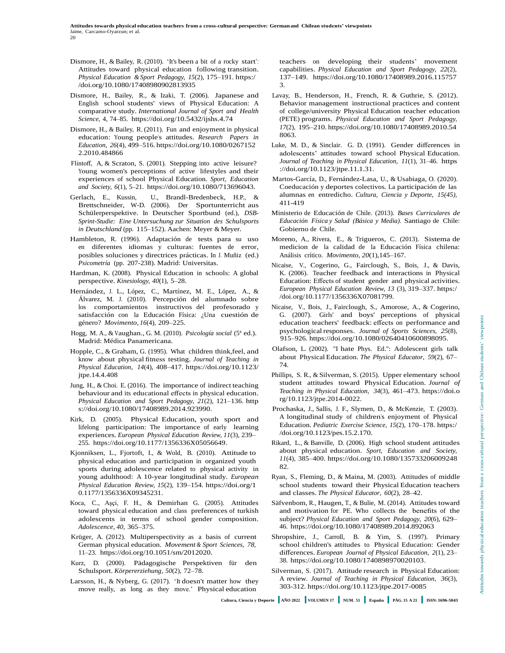- Dismore, H., & Bailey, R. (2010). 'It's been a bit of a rocky start': Attitudes toward physical education following transition. *Physical Education &Sport Pedagogy, 15*(2), 175–191. [https:/](https://doi.org/10.1080/17408980902813935) [/doi.org/10.1080/17408980902813935](https://doi.org/10.1080/17408980902813935)
- Dismore, H., Bailey, R., & Izaki, T. (2006). Japanese and English school students' views of Physical Education: A comparative study. *International Journal of Sport and Health Science,* 4, 74–85.<https://doi.org/10.5432/ijshs.4.74>
- Dismore, H., & Bailey, R. (2011). Fun and enjoyment in physical education: Young people's attitudes. *Research Papers in Education, 26*(4), 499–516. [https://doi.org/10.1080/0267152](https://doi.org/10.1080/02671522.2010.484866) [2.2010.484866](https://doi.org/10.1080/02671522.2010.484866)
- Flintoff, A, & Scraton, S. (2001). Stepping into active leisure? Young women's perceptions of active lifestyles and their experiences of school Physical Education. *Sport, Education and Society, 6*(1), 5–21. [https://doi.org/10.1080/713696043.](https://doi.org/10.1080/713696043)
- Gerlach, E., Kussin, U., Brandl-Bredenbeck, H.P., & Brettschneider, W-D. (2006). Der Sportunterricht aus Schülerperspektive. In Deutscher Sportbund (ed.), *DSB-Sprint-Studie: Eine Untersuchung zur Situation des Schulsports in Deutschland* (pp. 115–152). Aachen: Meyer & Meyer.
- Hambleton, R. (1996). Adaptación de tests para su uso en diferentes idiomas y culturas: fuentes de error, posibles soluciones y directrices prácticas. In J. Muñiz (ed.) *Psicometría* (pp. 207-238). Madrid: Universitas.
- Hardman, K. (2008). Physical Education in schools: A global perspective. *Kinesiology, 40*(1), 5–28.
- Hernández, J. L., López, C., Martínez, M. E., López, A., & Álvarez, M. J. (2010). Percepción del alumnado sobre los comportamientos instructivos del profesorado y satisfacción con la Educación Física: ¿Una cuestión de género? *Movimento, 16*(4), 209–225.
- Hogg, M. A., & Vaughan., G. M. (2010). *Psicología social* (5ª ed.). Madrid: Médica Panamericana.
- Hopple, C., & Graham, G. (1995). What children think,feel, and know about physical fitness testing. *Journal of Teaching in Physical Education, 14*(4), 408–417. [https://doi.org/10.1123/](https://doi.org/10.1123/jtpe.14.4.408)  itpe.14.4.408
- Jung, H., & Choi. E. (2016). The importance of indirect teaching behaviour and its educational effects in physical education. *Physical Education and Sport Pedagogy, 21*(2), 121–136. [http](https://doi.org/10.1080/17408989.2014.923990)  [s://doi.org/10.1080/17408989.2014.923990.](https://doi.org/10.1080/17408989.2014.923990)
- Kirk, D. (2005). Physical Education, youth sport and lifelong participation: The importance of early learning experiences. *European Physical Education Review, 11*(3), 239– 255. [https://doi.org/10.1177/1356336X05056649.](https://doi.org/10.1177/1356336X05056649)
- Kjonniksen, L., Fjortoft, I., & Wold, B. (2010). Attitude to physical education and participation in organized youth sports during adolescence related to physical activity in young adulthood: A 10-year longitudinal study. *European Physical Education Review, 15*(2), 139–154. [https://doi.org/1](https://doi.org/10.1177/1356336X09345231) [0.1177/1356336X09345231.](https://doi.org/10.1177/1356336X09345231)
- Koca, C., Aşçi, F. H., & Demirhan G. (2005). Attitudes toward physical education and class preferences of turkish adolescents in terms of school gender composition. *Adolescence, 40*, 365–375.
- Krüger, A. (2012). Multiperspectivity as a basis of current German physical education. *Movement & Sport Sciences, 78*, 11–23. [https://doi.org/10.1051/sm/2012020.](https://doi.org/10.1051/sm/2012020)
- Kurz, D. (2000). Pädagogische Perspektiven für den Schulsport. *Körpererziehung, 50*(2), 72–78.
- Larsson, H., & Nyberg, G. (2017). 'It doesn't matter how they move really, as long as they move.' Physical education

teachers on developing their students' movement capabilities. *Physical Education and Sport Pedagogy, 22*(2), 137–149. [https://doi.org/10.1080/17408989.2016.115757](https://doi.org/10.1080/17408989.2016.1157573) [3.](https://doi.org/10.1080/17408989.2016.1157573)

- Lavay, B., Henderson, H., French, R. & Guthrie, S. (2012). Behavior management instructional practices and content of college/university Physical Education teacher education (PETE) programs. *Physical Education and Sport Pedagogy, 17*(2), 195–210. [https://doi.org/10.1080/17408989.2010.54](https://doi.org/10.1080/17408989.2010.548063) [8063.](https://doi.org/10.1080/17408989.2010.548063)
- Luke, M. D., & Sinclair. G. D. (1991). Gender differences in adolescents' attitudes toward school Physical Education. *Journal of Teaching in Physical Education, 11*(1), 31–46. [https](https://doi.org/10.1123/jtpe.11.1.31) [://doi.org/10.1123/jtpe.11.1.31.](https://doi.org/10.1123/jtpe.11.1.31)
- Martos-García, D., Fernández-Lasa, U., & Usabiaga, O. (2020). Coeducación y deportes colectivos. La participación de las alumnas en entredicho. *Cultura, Ciencia y Deporte, 15(45)*, 411-419
- Ministerio de Educación de Chile. (2013). *Bases Curriculares de Educación Física y Salud (Básica y Media).* Santiago de Chile: Gobierno de Chile.
- Moreno, A., Rivera, E., & Trigueros, C. (2013). Sistema de medicion de la calidad de la Educación Física chilena: Análisis crítico. *Movimento, 20*(1),145–167.
- Nicaise, V., Cogerino, G., Fairclough, S., Bois, J., & Davis, K. (2006). Teacher feedback and interactions in Physical Education: Effects of student gender and physical activities. *European Physical Education Review, 13* (3), 319–337. [https:/](https://doi.org/10.1177/1356336X07081799) [/doi.org/10.1177/1356336X07081799.](https://doi.org/10.1177/1356336X07081799)
- Nicaise, V., Bois, J., Fairclough, S., Amorose, A., & Cogerino, G. (2007). Girls' and boys' perceptions of physical education teachers' feedback: effects on performance and psychological responses. *Journal of Sports Sciences, 25*(8), 915–926. [https://doi.org/10.1080/02640410600898095.](https://doi.org/10.1080/02640410600898095)
- Olafson, L. (2002). "I hate Phys. Ed.": Adolescent girls talk about Physical Education. *The Physical Educator, 59*(2), 67– 74.
- Phillips, S. R., & Silverman, S. (2015). Upper elementary school student attitudes toward Physical Education. *Journal of Teaching in Physical Education, 34*(3), 461–473. [https://doi.o](https://doi.org/10.1123/jtpe.2014-0022)  [rg/10.1123/jtpe.2014-0022.](https://doi.org/10.1123/jtpe.2014-0022)
- Prochaska, J., Sallis, J. F., Slymen, D., & McKenzie, T. (2003). A longitudinal study of children's enjoyment of Physical Education. *Pediatric Exercise Science, 15*(2), 170–178. [https:/](https://doi.org/10.1123/pes.15.2.170) [/doi.org/10.1123/pes.15.2.170.](https://doi.org/10.1123/pes.15.2.170)
- Rikard, L., & Banville, D. (2006). High school student attitudes about physical education. *Sport, Education and Society, 11*(4), 385–400. [https://doi.org/10.1080/135733206009248](https://doi.org/10.1080/13573320600924882) [82.](https://doi.org/10.1080/13573320600924882)
- Ryan, S., Fleming, D., & Maina, M. (2003). Attitudes of middle school students toward their Physical Education teachers and classes. *The Physical Educator, 60*(2), 28–42.
- Säfvenbom, R., Haugen, T., & Bulie, M. (2014). Attitudes toward and motivation for PE. Who collects the benefits of the subject? *Physical Education and Sport Pedagogy, 20*(6), 629– 46. <https://doi.org/10.1080/17408989.2014.892063>
- Shropshire, J., Carroll, B. & Yim, S. (1997). Primary school children's attitudes to Physical Education: Gender differences. *European Journal of Physical Education, 2*(1), 23– 38. [https://doi.org/10.1080/1740898970020103.](https://doi.org/10.1080/1740898970020103)
- Silverman, S. (2017). Attitude research in Physical Education: A review. *Journal of Teaching in Physical Education, 36*(3), 303-312. <https://doi.org/10.1123/jtpe.2017-0085>

10.1123/jtpe.2017-0085/https://doi.org/10.1123/jtpe.2017-0085<br>Cultura, Ciencia y Deporte || AÑO 2022 || VOLUMEN 17 || NUM. 51 || España || PÁG. 15 A 21 || ISSN: 1696-5043